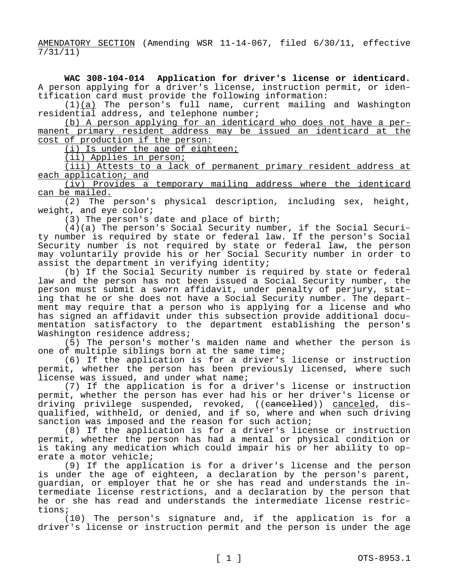AMENDATORY SECTION (Amending WSR 11-14-067, filed 6/30/11, effective 7/31/11)

**WAC 308-104-014 Application for driver's license or identicard.**  A person applying for a driver's license, instruction permit, or identification card must provide the following information:

 $(1)(a)$  The person's full name, current mailing and Washington residential address, and telephone number;

(b) A person applying for an identicard who does not have a permanent primary resident address may be issued an identicard at the cost of production if the person:

(i) Is under the age of eighteen;

(ii) Applies in person;

(iii) Attests to a lack of permanent primary resident address at each application; and

(iv) Provides a temporary mailing address where the identicard can be mailed.

(2) The person's physical description, including sex, height, weight, and eye color;

(3) The person's date and place of birth;

(4)(a) The person's Social Security number, if the Social Security number is required by state or federal law. If the person's Social Security number is not required by state or federal law, the person may voluntarily provide his or her Social Security number in order to assist the department in verifying identity;

(b) If the Social Security number is required by state or federal law and the person has not been issued a Social Security number, the person must submit a sworn affidavit, under penalty of perjury, stating that he or she does not have a Social Security number. The department may require that a person who is applying for a license and who has signed an affidavit under this subsection provide additional documentation satisfactory to the department establishing the person's Washington residence address;

(5) The person's mother's maiden name and whether the person is one of multiple siblings born at the same time;

(6) If the application is for a driver's license or instruction permit, whether the person has been previously licensed, where such license was issued, and under what name;

(7) If the application is for a driver's license or instruction permit, whether the person has ever had his or her driver's license or driving privilege suspended, revoked, ((cancelled)) canceled, disqualified, withheld, or denied, and if so, where and when such driving sanction was imposed and the reason for such action;

(8) If the application is for a driver's license or instruction permit, whether the person has had a mental or physical condition or is taking any medication which could impair his or her ability to operate a motor vehicle;

(9) If the application is for a driver's license and the person is under the age of eighteen, a declaration by the person's parent, guardian, or employer that he or she has read and understands the intermediate license restrictions, and a declaration by the person that he or she has read and understands the intermediate license restrictions;

(10) The person's signature and, if the application is for a driver's license or instruction permit and the person is under the age